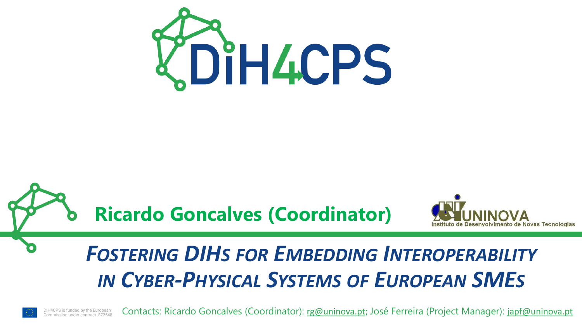

## **Ricardo Goncalves (Coordinator)**



## *FOSTERING DIHS FOR EMBEDDING INTEROPERABILITY IN CYBER-PHYSICAL SYSTEMS OF EUROPEAN SMES*

DIH4CPS is funded by the European Commission under contract 872548 Contacts: Ricardo Goncalves (Coordinator): [rg@uninova.pt](mailto:rg@uninova.pt); José Ferreira (Project Manager): [japf@uninova.pt](mailto:japf@uninova.pt)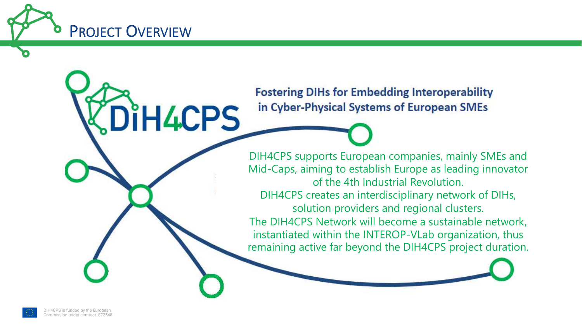

DiH4CPS

**Fostering DIHs for Embedding Interoperability** in Cyber-Physical Systems of European SMEs

DIH4CPS supports European companies, mainly SMEs and Mid-Caps, aiming to establish Europe as leading innovator of the 4th Industrial Revolution. DIH4CPS creates an interdisciplinary network of DIHs, solution providers and regional clusters. The DIH4CPS Network will become a sustainable network, instantiated within the INTEROP-VLab organization, thus remaining active far beyond the DIH4CPS project duration.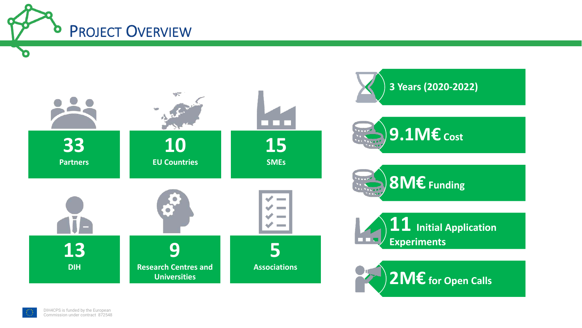

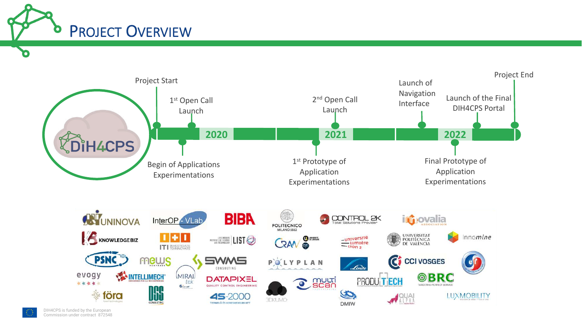





 $\bullet$